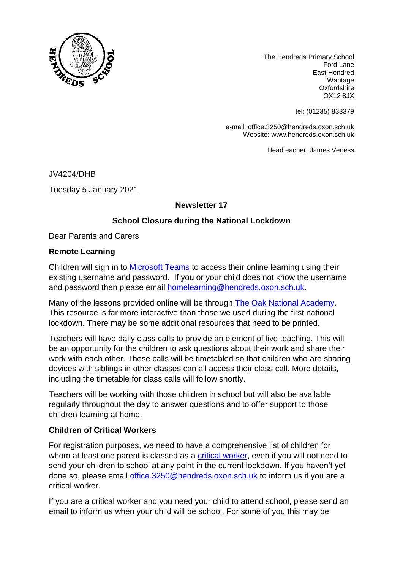

The Hendreds Primary School Ford Lane East Hendred Wantage **Oxfordshire** OX12 8JX

tel: (01235) 833379

e-mail: office.3250@hendreds.oxon.sch.uk Website: www.hendreds.oxon.sch.uk

Headteacher: James Veness

JV4204/DHB Tuesday 5 January 2021

## **Newsletter 17**

## **School Closure during the National Lockdown**

Dear Parents and Carers

## **Remote Learning**

Children will sign in to [Microsoft Teams](https://www.microsoft.com/en-gb/microsoft-365/microsoft-teams/group-chat-software) to access their online learning using their existing username and password. If you or your child does not know the username and password then please email [homelearning@hendreds.oxon.sch.uk.](mailto:homelearning@hendreds.oxon.sch.uk)

Many of the lessons provided online will be through [The Oak National Academy.](https://www.thenational.academy/) This resource is far more interactive than those we used during the first national lockdown. There may be some additional resources that need to be printed.

Teachers will have daily class calls to provide an element of live teaching. This will be an opportunity for the children to ask questions about their work and share their work with each other. These calls will be timetabled so that children who are sharing devices with siblings in other classes can all access their class call. More details, including the timetable for class calls will follow shortly.

Teachers will be working with those children in school but will also be available regularly throughout the day to answer questions and to offer support to those children learning at home.

## **Children of Critical Workers**

For registration purposes, we need to have a comprehensive list of children for whom at least one parent is classed as a [critical worker,](https://www.gov.uk/government/publications/coronavirus-covid-19-maintaining-educational-provision/guidance-for-schools-colleges-and-local-authorities-on-maintaining-educational-provision) even if you will not need to send your children to school at any point in the current lockdown. If you haven't yet done so, please email [office.3250@hendreds.oxon.sch.uk](mailto:office.3250@hendreds.oxon.sch.uk) to inform us if you are a critical worker.

If you are a critical worker and you need your child to attend school, please send an email to inform us when your child will be school. For some of you this may be